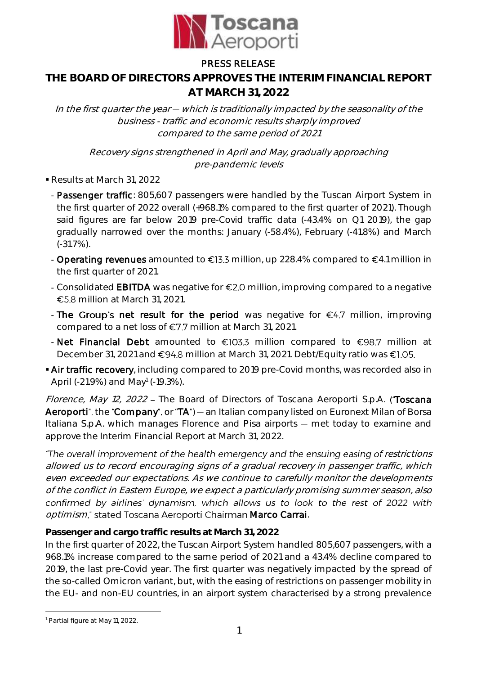

## PRESS RELEASE

# **THE BOARD OF DIRECTORS APPROVES THE INTERIM FINANCIAL REPORT AT MARCH 31, 2022**

In the first quarter the year  $-$  which is traditionally impacted by the seasonality of the business - traffic and economic results sharply improved compared to the same period of 2021

Recovery signs strengthened in April and May, gradually approaching pre-pandemic levels

- Results at March 31, 2022
	- Passenger traffic: 805,607 passengers were handled by the Tuscan Airport System in the first quarter of 2022 overall (+968.1% compared to the first quarter of 2021). Though said figures are far below 2019 pre-Covid traffic data (-43.4% on Q1 2019), the gap gradually narrowed over the months: January (-58.4%), February (-41.8%) and March (-31.7%).
	- Operating revenues amounted to  $\epsilon$ 13.3 million, up 228.4% compared to  $\epsilon$ 4.1 million in the first quarter of 2021.
	- Consolidated EBITDA was negative for  $E2.0$  million, improving compared to a negative €5.8 million at March 31, 2021.
	- The Group's net result for the period was negative for  $\epsilon$ 4.7 million, improving compared to a net loss of  $E$ 7.7 million at March 31, 2021.
	- Net Financial Debt amounted to  $\epsilon$ 103.3 million compared to  $\epsilon$ 98.7 million at December 31, 2021 and €94.8 million at March 31, 2021. Debt/Equity ratio was €1.05.
- Air traffic recovery, including compared to 2019 pre-Covid months, was recorded also in April (-21.9%) and May<sup>1</sup> (-19.3%).

Florence, May 12, 2022 - The Board of Directors of Toscana Aeroporti S.p.A. ("Toscana Aeroporti", the "Company", or "TA") - an Italian company listed on Euronext Milan of Borsa Italiana S.p.A. which manages Florence and Pisa airports – met today to examine and approve the Interim Financial Report at March 31, 2022.

"The overall improvement of the health emergency and the ensuing easing of restrictions allowed us to record encouraging signs of a gradual recovery in passenger traffic, which even exceeded our expectations. As we continue to carefully monitor the developments of the conflict in Eastern Europe, we expect a particularly promising summer season, also confirmed by airlines' dynamism, which allows us to look to the rest of 2022 with optimism," stated Toscana Aeroporti Chairman Marco Carrai.

**Passenger and cargo traffic results at March 31, 2022**

In the first quarter of 2022, the Tuscan Airport System handled 805,607 passengers, with a 968.1% increase compared to the same period of 2021 and a 43.4% decline compared to 2019, the last pre-Covid year. The first quarter was negatively impacted by the spread of the so-called Omicron variant, but, with the easing of restrictions on passenger mobility in the EU- and non-EU countries, in an airport system characterised by a strong prevalence

<u>.</u>

<sup>&</sup>lt;sup>1</sup> Partial figure at May 11, 2022.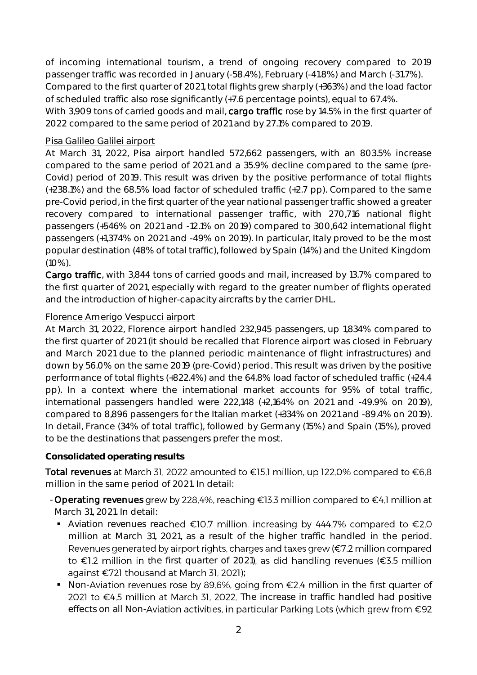of incoming international tourism, a trend of ongoing recovery compared to 2019 passenger traffic was recorded in January (-58.4%), February (-41.8%) and March (-31.7%). Compared to the first quarter of 2021, total flights grew sharply (+363%) and the load factor of scheduled traffic also rose significantly (+7.6 percentage points), equal to 67.4%. With 3,909 tons of carried goods and mail, cargo traffic rose by 14.5% in the first quarter of 2022 compared to the same period of 2021 and by 27.1% compared to 2019.

#### Pisa Galileo Galilei airport

At March 31, 2022, Pisa airport handled 572,662 passengers, with an 803.5% increase compared to the same period of 2021 and a 35.9% decline compared to the same (pre-Covid) period of 2019. This result was driven by the positive performance of total flights (+238.1%) and the 68.5% load factor of scheduled traffic (+2.7 pp). Compared to the same pre-Covid period, in the first quarter of the year national passenger traffic showed a greater recovery compared to international passenger traffic, with 270,716 national flight passengers (+546% on 2021 and -12.1% on 2019) compared to 300,642 international flight passengers (+1,374% on 2021 and -49% on 2019). In particular, Italy proved to be the most popular destination (48% of total traffic), followed by Spain (14%) and the United Kingdom (10%).

Cargo traffic, with 3,844 tons of carried goods and mail, increased by 13.7% compared to the first quarter of 2021, especially with regard to the greater number of flights operated and the introduction of higher-capacity aircrafts by the carrier DHL.

#### Florence Amerigo Vespucci airport

At March 31, 2022, Florence airport handled 232,945 passengers, up 1,834% compared to the first quarter of 2021 (it should be recalled that Florence airport was closed in February and March 2021 due to the planned periodic maintenance of flight infrastructures) and down by 56.0% on the same 2019 (pre-Covid) period. This result was driven by the positive performance of total flights (+822.4%) and the 64.8% load factor of scheduled traffic (+24.4 pp). In a context where the international market accounts for 95% of total traffic, international passengers handled were 222,148 (+2,164% on 2021 and -49.9% on 2019), compared to 8,896 passengers for the Italian market (+334% on 2021 and -89.4% on 2019). In detail, France (34% of total traffic), followed by Germany (15%) and Spain (15%), proved to be the destinations that passengers prefer the most.

### **Consolidated operating results**

Total revenues at March 31, 2022 amounted to  $\epsilon$ 15.1 million, up 122.0% compared to  $\epsilon$ 6.8 million in the same period of 2021. In detail:

- Operating revenues grew by 228.4%, reaching  $E$ 13.3 million compared to  $E$ 4.1 million at March 31, 2021. In detail:
	- Aviation revenues reached  $\epsilon$ 10.7 million, increasing by 444.7% compared to  $\epsilon$ 2.0 million at March 31, 2021, as a result of the higher traffic handled in the period. Revenues generated by airport rights, charges and taxes grew (€7.2 million compared to  $\epsilon$ 1.2 million in the first quarter of 2021), as did handling revenues ( $\epsilon$ 3.5 million against €721 thousand at March 31, 2021); ;
	- Non-Aviation revenues rose by 89.6%, going from  $\epsilon$ 2.4 million in the first quarter of 2021 to  $\epsilon$ 4.5 million at March 31, 2022. The increase in traffic handled had positive effects on all Non-Aviation activities, in particular Parking Lots (which grew from €92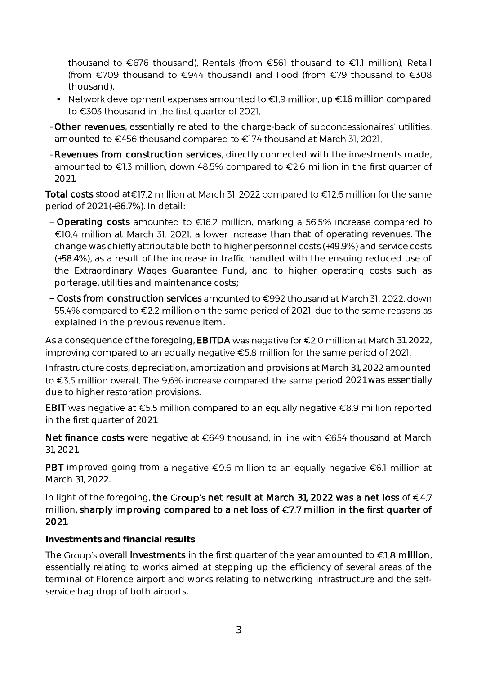thousand to €676 thousand), Rentals (from €561 thousand to €1.1 million), Retail (from €709 thousand to €944 thousand) and Food (from €79 thousand to €308 thousand).

- Network development expenses amounted to  $\epsilon$ 1.9 million, up  $\epsilon$ 1.6 million compared to €303 thousand in the first quarter of 2021.
- Other revenues, essentially related to the charge-back of subconcessionaires' utilities, amounted to €456 thousand compared to €174 thousand at March 31, 2021.
- Revenues from construction services, directly connected with the investments made, amounted to €1.3 million, down 48.5% compared to €2.6 million in the first quarter of 2021.

Total costs stood at€17.2 million at March 31, 2022 compared to €12.6 million for the same period of 2021 (+36.7%). In detail:

- Operating costs amounted to  $\epsilon$ 16.2 million, marking a 56.5% increase compared to  $E[0.4$  million at March 31, 2021, a lower increase than that of operating revenues. The change was chiefly attributable both to higher personnel costs (+49.9%) and service costs (+58.4%), as a result of the increase in traffic handled with the ensuing reduced use of the Extraordinary Wages Guarantee Fund, and to higher operating costs such as porterage, utilities and maintenance costs;
- $-$  Costs from construction services amounted to  $\epsilon$ 992 thousand at March 31, 2022, down 55.4% compared to €2.2 million on the same period of 2021, due to the same reasons as explained in the previous revenue item.

As a consequence of the foregoing, **EBITDA** was negative for  $\epsilon$ 2.0 million at March 31, 2022, improving compared to an equally negative €5.8 million for the same period of 2021.

Infrastructure costs, depreciation, amortization and provisions at March 31, 2022 amounted to €3.5 million overall. The 9.6% increase compared the same period 2021 was essentially due to higher restoration provisions.

EBIT was negative at  $\epsilon$ 5.5 million compared to an equally negative  $\epsilon$ 8.9 million reported in the first quarter of 2021.

Net finance costs were negative at  $\epsilon$ 649 thousand, in line with  $\epsilon$ 654 thousand at March 31, 2021.

PBT improved going from a negative  $\epsilon$ 9.6 million to an equally negative  $\epsilon$ 6.1 million at March 31, 2022.

In light of the foregoing, the Group's net result at March 31, 2022 was a net loss of  $\epsilon$ 4.7 million, sharply improving compared to a net loss of  $\epsilon$ 7.7 million in the first quarter of 2021.

**Investments and financial results**

The Group's overall investments in the first quarter of the year amounted to  $\epsilon$ 1.8 million, essentially relating to works aimed at stepping up the efficiency of several areas of the terminal of Florence airport and works relating to networking infrastructure and the selfservice bag drop of both airports.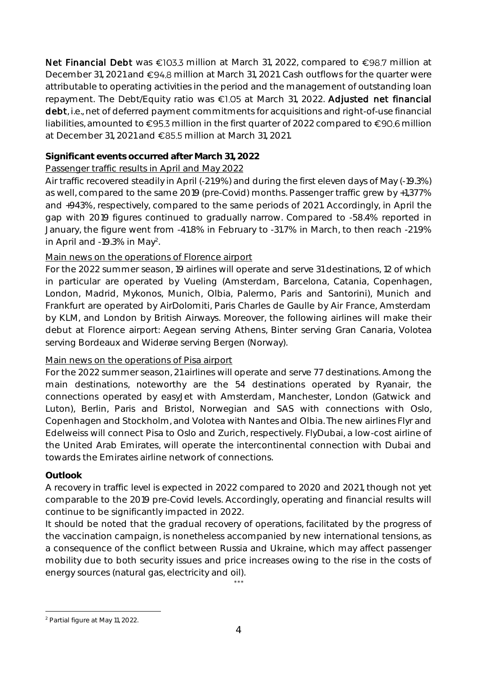Net Financial Debt was  $\epsilon$ 103.3 million at March 31, 2022, compared to  $\epsilon$ 98.7 million at December 31, 2021 and €94.8 million at March 31, 2021. Cash outflows for the quarter were attributable to operating activities in the period and the management of outstanding loan repayment. The Debt/Equity ratio was €1.05 at March 31, 2022. Adjusted net financial debt, i.e., net of deferred payment commitments for acquisitions and right-of-use financial liabilities, amounted to  $\epsilon$ 95.3 million in the first quarter of 2022 compared to  $\epsilon$ 90.6 million at December 31, 2021 and  $\epsilon$ 85.5 million at March 31, 2021.

## **Significant events occurred after March 31, 2022**

## Passenger traffic results in April and May 2022

Air traffic recovered steadily in April (-21.9%) and during the first eleven days of May (-19.3%) as well, compared to the same 2019 (pre-Covid) months. Passenger traffic grew by +1,377% and +943%, respectively, compared to the same periods of 2021. Accordingly, in April the gap with 2019 figures continued to gradually narrow. Compared to -58.4% reported in January, the figure went from -41.8% in February to -31.7% in March, to then reach -21.9% in April and -19.3% in May<sup>2</sup> .

### Main news on the operations of Florence airport

For the 2022 summer season, 19 airlines will operate and serve 31 destinations, 12 of which in particular are operated by Vueling (Amsterdam, Barcelona, Catania, Copenhagen, London, Madrid, Mykonos, Munich, Olbia, Palermo, Paris and Santorini), Munich and Frankfurt are operated by AirDolomiti, Paris Charles de Gaulle by Air France, Amsterdam by KLM, and London by British Airways. Moreover, the following airlines will make their debut at Florence airport: Aegean serving Athens, Binter serving Gran Canaria, Volotea serving Bordeaux and Widerøe serving Bergen (Norway).

### Main news on the operations of Pisa airport

For the 2022 summer season, 21 airlines will operate and serve 77 destinations. Among the main destinations, noteworthy are the 54 destinations operated by Ryanair, the connections operated by easyJet with Amsterdam, Manchester, London (Gatwick and Luton), Berlin, Paris and Bristol, Norwegian and SAS with connections with Oslo, Copenhagen and Stockholm, and Volotea with Nantes and Olbia. The new airlines Flyr and Edelweiss will connect Pisa to Oslo and Zurich, respectively. FlyDubai, a low-cost airline of the United Arab Emirates, will operate the intercontinental connection with Dubai and towards the Emirates airline network of connections.

# **Outlook**

A recovery in traffic level is expected in 2022 compared to 2020 and 2021, though not yet comparable to the 2019 pre-Covid levels. Accordingly, operating and financial results will continue to be significantly impacted in 2022.

It should be noted that the gradual recovery of operations, facilitated by the progress of the vaccination campaign, is nonetheless accompanied by new international tensions, as a consequence of the conflict between Russia and Ukraine, which may affect passenger mobility due to both security issues and price increases owing to the rise in the costs of energy sources (natural gas, electricity and oil).

\* \* \*

<sup>1</sup> <sup>2</sup> Partial figure at May 11, 2022.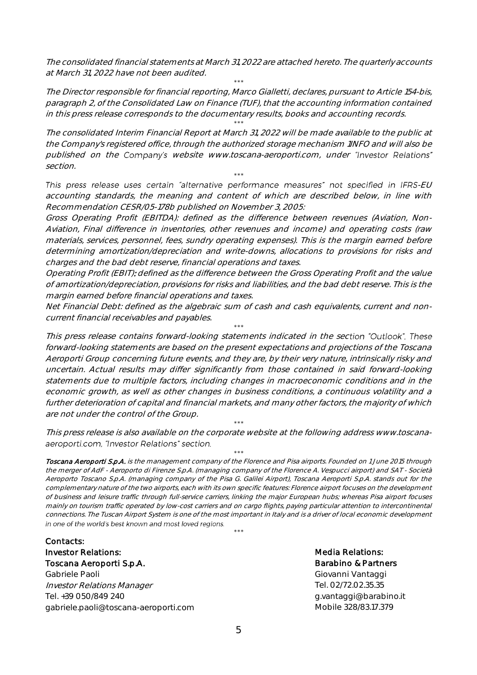The consolidated financial statements at March 31, 2022 are attached hereto. The quarterly accounts at March 31, 2022 have not been audited. \* \* \*

The Director responsible for financial reporting, Marco Gialletti, declares, pursuant to Article 154-bis, paragraph 2, of the Consolidated Law on Finance (TUF), that the accounting information contained in this press release corresponds to the documentary results, books and accounting records.

\* \* \*

The consolidated Interim Financial Report at March 31, 2022 will be made available to the public at the Company's registered office, through the authorized storage mechanism 1INFO and will also be published on the Company's website www.toscana-aeroporti.com, under "Investor Relations" section.

This press release uses certain "alternative performance measures" not specified in IFRS-EU accounting standards, the meaning and content of which are described below, in line with Recommendation CESR/05-178b published on November 3, 2005:

\* \* \*

Gross Operating Profit (EBITDA): defined as the difference between revenues (Aviation, Non-Aviation, Final difference in inventories, other revenues and income) and operating costs (raw materials, services, personnel, fees, sundry operating expenses). This is the margin earned before determining amortization/depreciation and write-downs, allocations to provisions for risks and charges and the bad debt reserve, financial operations and taxes.

Operating Profit (EBIT): defined as the difference between the Gross Operating Profit and the value of amortization/depreciation, provisions for risks and liabilities, and the bad debt reserve. This is the margin earned before financial operations and taxes.

Net Financial Debt: defined as the algebraic sum of cash and cash equivalents, current and noncurrent financial receivables and payables. \* \* \*

This press release contains forward-looking statements indicated in the section "Outlook". These forward-looking statements are based on the present expectations and projections of the Toscana Aeroporti Group concerning future events, and they are, by their very nature, intrinsically risky and uncertain. Actual results may differ significantly from those contained in said forward-looking statements due to multiple factors, including changes in macroeconomic conditions and in the economic growth, as well as other changes in business conditions, a continuous volatility and a further deterioration of capital and financial markets, and many other factors, the majority of which are not under the control of the Group.

\* \* \* This press release is also available on the corporate website at the following address www.toscana aeroporti.com, "Investor Relations" section. \* \* \*

Toscana Aeroportl S.p.A. is the management company of the Florence and Pisa airports. Founded on 1 June 2015 through the merger of AdF - Aeroporto di Firenze S.p.A. (managing company of the Florence A. Vespucci airport) and SAT - Società Aeroporto Toscano S.p.A. (managing company of the Pisa G. Galilei Airport), Toscana Aeroporti S.p.A. stands out for the complementary nature of the two airports, each with its own specific features: Florence airport focuses on the development of business and leisure traffic through full-service carriers, linking the major European hubs; whereas Pisa airport focuses mainly on tourism traffic operated by low-cost carriers and on cargo flights, paying particular attention to intercontinental connections. The Tuscan Airport System is one of the most important in Italy and is a driver of local economic development in one of the world's best known and most loved regions.

\* \* \*

Contacts: Investor Relations: Toscana Aeroporti S.p.A. Gabriele Paoli

Investor Relations Manager Tel. +39 050/849 240 gabriele.paoli@toscana-aeroporti.com Media Relations: Barabino & Partners Giovanni Vantaggi Tel. 02/72.02.35.35 g.vantaggi@barabino.it Mobile 328/83.17.379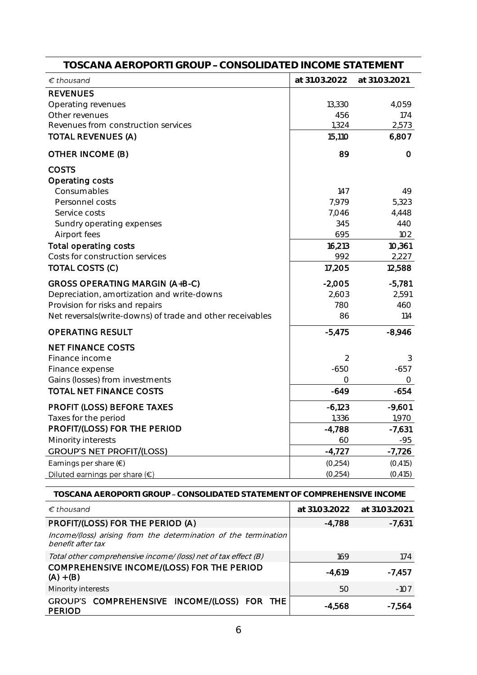| TOSCANA AEROPORTI GROUP - CONSOLIDATED INCOME STATEMENT                  |               |               |  |  |
|--------------------------------------------------------------------------|---------------|---------------|--|--|
| $\epsilon$ thousand                                                      | at 31.03.2022 | at 31.03.2021 |  |  |
| <b>REVENUES</b>                                                          |               |               |  |  |
| Operating revenues<br>Other revenues                                     | 13,330<br>456 | 4,059<br>174  |  |  |
| Revenues from construction services                                      | 1,324         | 2,573         |  |  |
| <b>TOTAL REVENUES (A)</b>                                                | 15,110        | 6,807         |  |  |
| OTHER INCOME (B)                                                         | 89            | O             |  |  |
| <b>COSTS</b>                                                             |               |               |  |  |
| Operating costs                                                          |               |               |  |  |
| Consumables                                                              | 147           | 49            |  |  |
| Personnel costs                                                          | 7,979         | 5,323         |  |  |
| Service costs                                                            | 7,046         | 4,448         |  |  |
| Sundry operating expenses                                                | 345           | 44O           |  |  |
| Airport fees                                                             | 695           | 102           |  |  |
| Total operating costs                                                    | 16,213        | 10,361        |  |  |
| Costs for construction services                                          | 992           | 2,227         |  |  |
| TOTAL COSTS (C)                                                          | 17,205        | 12,588        |  |  |
| GROSS OPERATING MARGIN (A+B-C)                                           | $-2,005$      | $-5,781$      |  |  |
| Depreciation, amortization and write-downs                               | 2,603         | 2,591         |  |  |
| Provision for risks and repairs                                          | 780           | 460           |  |  |
| Net reversals(write-downs) of trade and other receivables                | 86            | 114           |  |  |
| <b>OPERATING RESULT</b>                                                  | $-5,475$      | $-8,946$      |  |  |
| <b>NET FINANCE COSTS</b>                                                 |               |               |  |  |
| Finance income                                                           | 2             | 3             |  |  |
| Finance expense                                                          | $-650$        | $-657$        |  |  |
| Gains (losses) from investments                                          | $\bigcirc$    | O             |  |  |
| <b>TOTAL NET FINANCE COSTS</b>                                           | $-649$        | $-654$        |  |  |
| <b>PROFIT (LOSS) BEFORE TAXES</b>                                        | $-6,123$      | $-9,601$      |  |  |
| Taxes for the period                                                     | 1,336         | 1,970         |  |  |
| PROFIT/(LOSS) FOR THE PERIOD                                             | $-4,788$      | $-7,631$      |  |  |
| Minority interests                                                       | 60            | -95           |  |  |
| <b>GROUP'S NET PROFIT/(LOSS)</b>                                         | $-4,727$      | $-7,726$      |  |  |
| Earnings per share $(\epsilon)$                                          | (0, 254)      | (0, 415)      |  |  |
| Diluted earnings per share $(\epsilon)$                                  | (0, 254)      | (0, 415)      |  |  |
| TOSCANA AEROPORTI GROUP – CONSOLIDATED STATEMENT OF COMPREHENSIVE INCOME |               |               |  |  |

| TOJUANA ALNUFUNTI UNUUF " UUNJULIDATLID JTATLIVILINT OF UUWIFNLITLINJI VL INUUWIL    |               |               |  |  |
|--------------------------------------------------------------------------------------|---------------|---------------|--|--|
| $\epsilon$ thousand                                                                  | at 31.03.2022 | at 31.03.2021 |  |  |
| PROFIT/(LOSS) FOR THE PERIOD (A)                                                     | -4,788        | $-7,631$      |  |  |
| Income/(loss) arising from the determination of the termination<br>benefit after tax |               |               |  |  |
| Total other comprehensive income/ (loss) net of tax effect (B)                       | 169           | 174           |  |  |
| COMPREHENSIVE INCOME/(LOSS) FOR THE PERIOD<br>$(A) + (B)$                            | $-4.619$      | -7,457        |  |  |
| Minority interests                                                                   | 50            | $-107$        |  |  |
| GROUP'S COMPREHENSIVE INCOME/(LOSS) FOR THE<br><b>PERIOD</b>                         | $-4,568$      | -7,564        |  |  |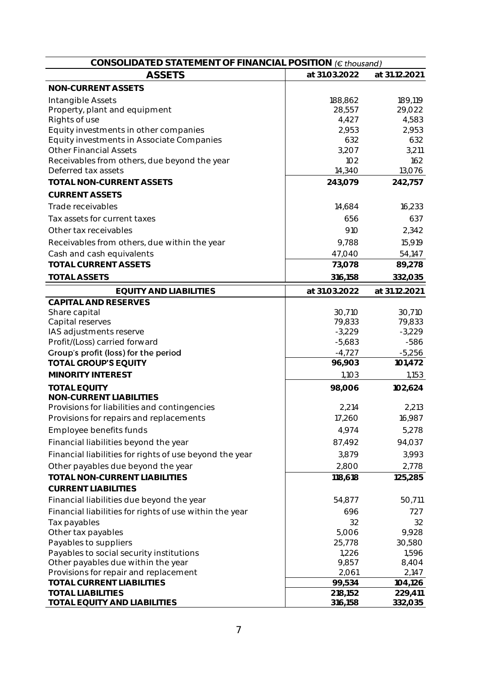| CONSOLIDATED STATEMENT OF FINANCIAL POSITION (€ thousand) |                    |                    |  |
|-----------------------------------------------------------|--------------------|--------------------|--|
| <b>ASSETS</b>                                             | at 31.03.2022      | at 31.12.2021      |  |
| NON-CURRENT ASSETS                                        |                    |                    |  |
| Intangible Assets                                         | 188,862            | 189,119            |  |
| Property, plant and equipment                             | 28,557             | 29,022             |  |
| Rights of use                                             | 4,427              | 4,583              |  |
| Equity investments in other companies                     | 2,953              | 2,953              |  |
| Equity investments in Associate Companies                 | 632                | 632                |  |
| <b>Other Financial Assets</b>                             | 3,207              | 3,211              |  |
| Receivables from others, due beyond the year              | 102                | 162                |  |
| Deferred tax assets                                       | <b>14,340</b>      | 13,076             |  |
| TOTAL NON-CURRENT ASSETS                                  | 243,079            | 242,757            |  |
| <b>CURRENT ASSETS</b>                                     |                    |                    |  |
| Trade receivables                                         | 14,684             | 16,233             |  |
| Tax assets for current taxes                              | 656                | 637                |  |
| Other tax receivables                                     | 910                | 2,342              |  |
| Receivables from others, due within the year              | 9,788              | 15,919             |  |
| Cash and cash equivalents                                 | 47,040             | 54,147             |  |
| <b>TOTAL CURRENT ASSETS</b>                               | 73,078             | 89,278             |  |
| <b>TOTAL ASSETS</b>                                       | 316,158            | 332,035            |  |
| <b>EQUITY AND LIABILITIES</b>                             | at 31.03.2022      | at 31.12.2021      |  |
| CAPITAL AND RESERVES                                      |                    |                    |  |
| Share capital                                             | 30,710             | 30,710             |  |
| Capital reserves                                          | 79,833             | 79,833             |  |
| IAS adjustments reserve                                   | $-3,229$           | $-3,229$           |  |
| Profit/(Loss) carried forward                             | $-5,683$           | $-586$             |  |
| Group's profit (loss) for the period                      | $-4,727$           | $-5,256$           |  |
| <b>TOTAL GROUP'S EQUITY</b>                               | 96,903             | 101,472            |  |
| MINORITY INTEREST                                         | 1,103              | 1,153              |  |
| <b>TOTAL EQUITY</b>                                       | 98,006             | 102,624            |  |
| NON-CURRENT LIABILITIES                                   |                    |                    |  |
| Provisions for liabilities and contingencies              | 2,214              | 2,213              |  |
| Provisions for repairs and replacements                   | 17,260             | 16,987             |  |
| Employee benefits funds                                   | 4,974              | 5,278              |  |
| Financial liabilities beyond the year                     | 87,492             | 94,037             |  |
| Financial liabilities for rights of use beyond the year   | 3,879              | 3,993              |  |
| Other payables due beyond the year                        | 2,800              | 2,778              |  |
| TOTAL NON-CURRENT LIABILITIES                             | 118,618            | 125,285            |  |
| <b>CURRENT LIABILITIES</b>                                |                    |                    |  |
| Financial liabilities due beyond the year                 | 54,877             | 50,711             |  |
| Financial liabilities for rights of use within the year   | 696                | 727                |  |
| Tax payables                                              | 32                 | 32                 |  |
| Other tax payables                                        | 5,006              | 9,928              |  |
| Payables to suppliers                                     | 25,778             | 30,580             |  |
| Payables to social security institutions                  | 1,226              | 1,596              |  |
| Other payables due within the year                        | 9,857              | 8,404              |  |
| Provisions for repair and replacement                     | 2,061              | 2,147              |  |
| TOTAL CURRENT LIABILITIES                                 | 99,534             | 104,126            |  |
| <b>TOTAL LIABILITIES</b><br>TOTAL EQUITY AND LIABILITIES  | 218,152<br>316,158 | 229,411<br>332,035 |  |
|                                                           |                    |                    |  |